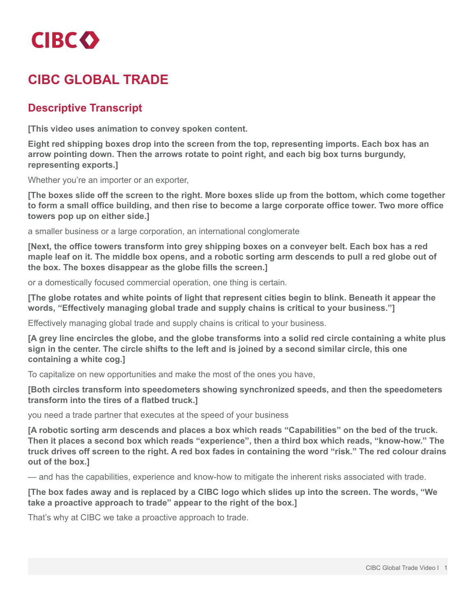

## **CIBC GLOBAL TRADE**

## **Descriptive Transcript**

**[This video uses animation to convey spoken content.**

**Eight red shipping boxes drop into the screen from the top, representing imports. Each box has an arrow pointing down. Then the arrows rotate to point right, and each big box turns burgundy, representing exports.]**

Whether you're an importer or an exporter,

[The boxes slide off the screen to the right. More boxes slide up from the bottom, which come together to form a small office building, and then rise to become a large corporate office tower. Two more office **towers pop up on either side.]**

a smaller business or a large corporation, an international conglomerate

**[Next, the office towers transform into grey shipping boxes on a conveyer belt. Each box has a red** maple leaf on it. The middle box opens, and a robotic sorting arm descends to pull a red globe out of **the box. The boxes disappear as the globe fills the screen.]**

or a domestically focused commercial operation, one thing is certain.

[The globe rotates and white points of light that represent cities begin to blink. Beneath it appear the **words, "Effectively managing global trade and supply chains is critical to your business."]**

Effectively managing global trade and supply chains is critical to your business.

[A grey line encircles the globe, and the globe transforms into a solid red circle containing a white plus sign in the center. The circle shifts to the left and is joined by a second similar circle, this one **containing a white cog.]**

To capitalize on new opportunities and make the most of the ones you have,

**[Both circles transform into speedometers showing synchronized speeds, and then the speedometers transform into the tires of a flatbed truck.]**

you need a trade partner that executes at the speed of your business

[A robotic sorting arm descends and places a box which reads "Capabilities" on the bed of the truck. **Then it places a second box which reads "experience", then a third box which reads, "know-how." The** truck drives off screen to the right. A red box fades in containing the word "risk." The red colour drains **out of the box.]**

— and has the capabilities, experience and know-how to mitigate the inherent risks associated with trade.

[The box fades away and is replaced by a CIBC logo which slides up into the screen. The words, "We **take a proactive approach to trade" appear to the right of the box.]**

That's why at CIBC we take a proactive approach to trade.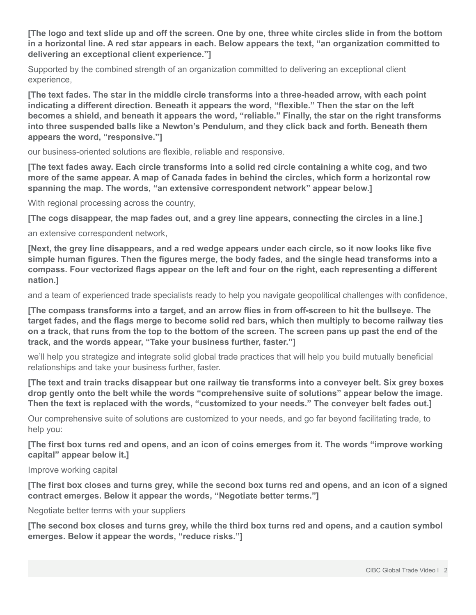[The logo and text slide up and off the screen. One by one, three white circles slide in from the bottom in a horizontal line. A red star appears in each. Below appears the text, "an organization committed to **delivering an exceptional client experience."]**

Supported by the combined strength of an organization committed to delivering an exceptional client experience,

**[The text fades. The star in the middle circle transforms into a three-headed arrow, with each point indicating a different direction. Beneath it appears the word, "flexible." Then the star on the left becomes a shield, and beneath it appears the word, "reliable." Finally, the star on the right transforms into three suspended balls like a Newton's Pendulum, and they click back and forth. Beneath them appears the word, "responsive."]**

our business-oriented solutions are flexible, reliable and responsive.

[The text fades away. Each circle transforms into a solid red circle containing a white cog, and two more of the same appear. A map of Canada fades in behind the circles, which form a horizontal row **spanning the map. The words, "an extensive correspondent network" appear below.]**

With regional processing across the country,

[The cogs disappear, the map fades out, and a grey line appears, connecting the circles in a line.]

an extensive correspondent network,

[Next, the grey line disappears, and a red wedge appears under each circle, so it now looks like five **simple human figures. Then the figures merge, the body fades, and the single head transforms into a compass. Four vectorized flags appear on the left and four on the right, each representing a different nation.]**

and a team of experienced trade specialists ready to help you navigate geopolitical challenges with confidence,

[The compass transforms into a target, and an arrow flies in from off-screen to hit the bullseye. The target fades, and the flags merge to become solid red bars, which then multiply to become railway ties on a track, that runs from the top to the bottom of the screen. The screen pans up past the end of the **track, and the words appear, "Take your business further, faster."]**

we'll help you strategize and integrate solid global trade practices that will help you build mutually beneficial relationships and take your business further, faster.

[The text and train tracks disappear but one railway tie transforms into a conveyer belt. Six grey boxes **drop gently onto the belt while the words "comprehensive suite of solutions" appear below the image. Then the text is replaced with the words, "customized to your needs." The conveyer belt fades out.]**

Our comprehensive suite of solutions are customized to your needs, and go far beyond facilitating trade, to help you:

[The first box turns red and opens, and an icon of coins emerges from it. The words "improve working **capital" appear below it.]**

Improve working capital

[The first box closes and turns grey, while the second box turns red and opens, and an icon of a signed **contract emerges. Below it appear the words, "Negotiate better terms."]**

Negotiate better terms with your suppliers

[The second box closes and turns grey, while the third box turns red and opens, and a caution symbol **emerges. Below it appear the words, "reduce risks."]**